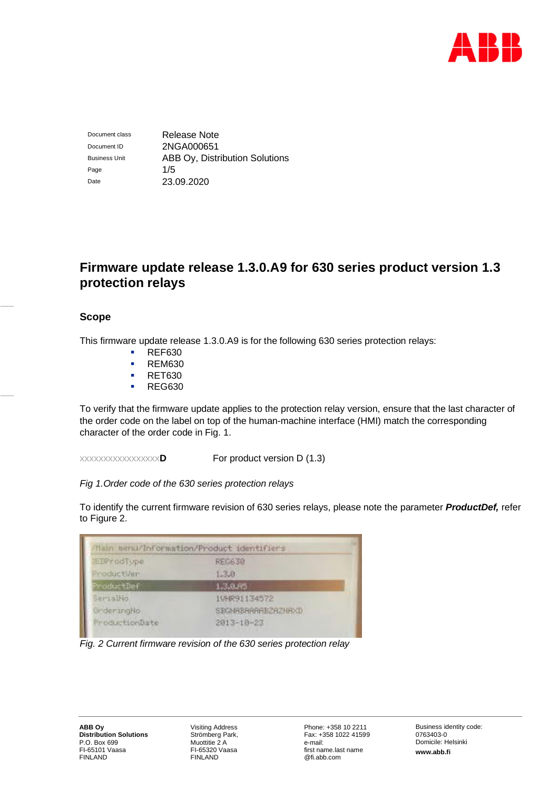

Document class Release Note Document ID 2NGA000651 Business Unit **ABB Oy, Distribution Solutions** Page 1/5 Date 23.09.2020

# **Firmware update release 1.3.0.A9 for 630 series product version 1.3 protection relays**

# **Scope**

This firmware update release 1.3.0.A9 is for the following 630 series protection relays:

- **REF630**
- **REM630**
- **RET630**
- **REG630**

To verify that the firmware update applies to the protection relay version, ensure that the last character of the order code on the label on top of the human-machine interface (HMI) match the corresponding character of the order code in Fig. 1.

xxxxxxxxxxxxxxxxx**D** For product version D (1.3)

*Fig 1.Order code of the 630 series protection relays*

To identify the current firmware revision of 630 series relays, please note the parameter *ProductDef,* refer to Figure 2.



*Fig. 2 Current firmware revision of the 630 series protection relay*

Visiting Address Strömberg Park, Muottitie 2 A FI-65320 Vaasa FINLAND

Phone: +358 10 2211 Fax: +358 1022 41599 e-mail: first name.last name @fi.abb.com

Business identity code: 0763403-0 Domicile: Helsinki **www.abb.fi**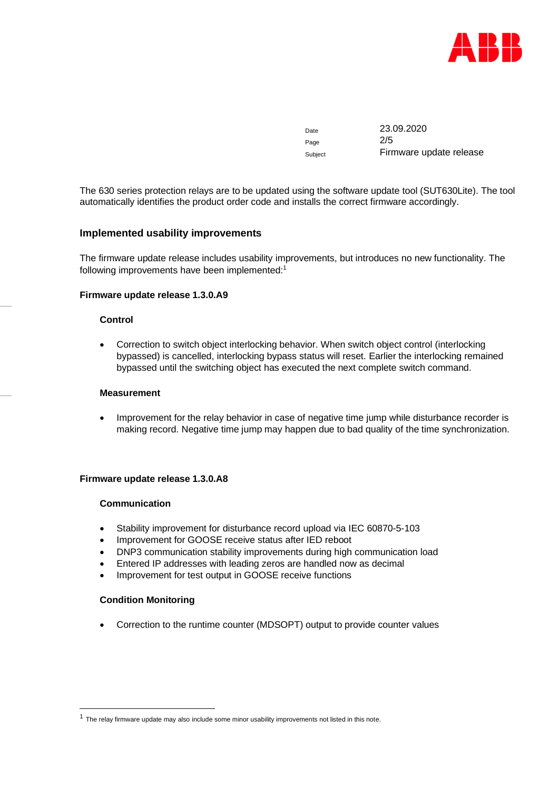

Date 23.09.2020 Page 2/5 Subject Firmware update release

The 630 series protection relays are to be updated using the software update tool (SUT630Lite). The tool automatically identifies the product order code and installs the correct firmware accordingly.

# **Implemented usability improvements**

The firmware update release includes usability improvements, but introduces no new functionality. The following improvements have been implemented:[1](#page-1-0)

## **Firmware update release 1.3.0.A9**

## **Control**

 Correction to switch object interlocking behavior. When switch object control (interlocking bypassed) is cancelled, interlocking bypass status will reset. Earlier the interlocking remained bypassed until the switching object has executed the next complete switch command.

## **Measurement**

• Improvement for the relay behavior in case of negative time jump while disturbance recorder is making record. Negative time jump may happen due to bad quality of the time synchronization.

#### **Firmware update release 1.3.0.A8**

#### **Communication**

- Stability improvement for disturbance record upload via IEC 60870-5-103
- Improvement for GOOSE receive status after IED reboot
- DNP3 communication stability improvements during high communication load
- Entered IP addresses with leading zeros are handled now as decimal
- Improvement for test output in GOOSE receive functions

#### **Condition Monitoring**

Correction to the runtime counter (MDSOPT) output to provide counter values

<span id="page-1-0"></span> $<sup>1</sup>$  The relay firmware update may also include some minor usability improvements not listed in this note.</sup>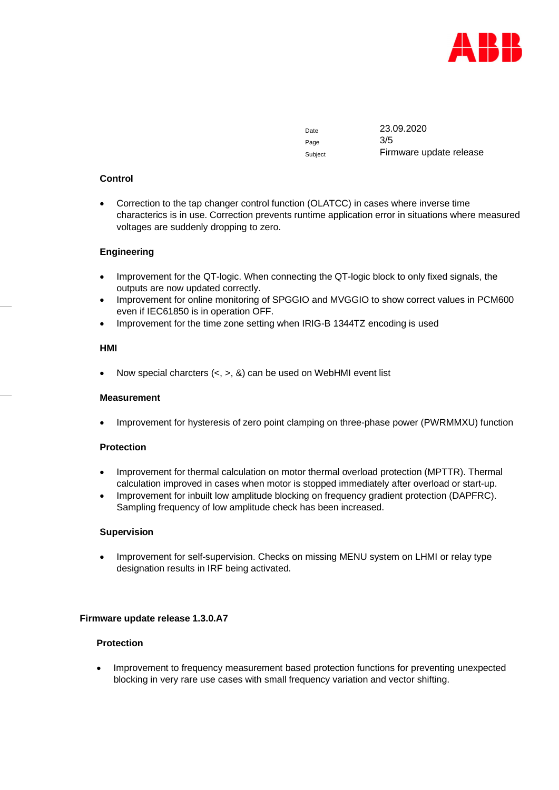

Page 3/5

Date 23.09.2020 Subject **Firmware update release** 

# **Control**

 Correction to the tap changer control function (OLATCC) in cases where inverse time characterics is in use. Correction prevents runtime application error in situations where measured voltages are suddenly dropping to zero.

# **Engineering**

- Improvement for the QT-logic. When connecting the QT-logic block to only fixed signals, the outputs are now updated correctly.
- Improvement for online monitoring of SPGGIO and MVGGIO to show correct values in PCM600 even if IEC61850 is in operation OFF.
- Improvement for the time zone setting when IRIG-B 1344TZ encoding is used

#### **HMI**

Now special charcters  $(<, >, \&)$  can be used on WebHMI event list

#### **Measurement**

Improvement for hysteresis of zero point clamping on three-phase power (PWRMMXU) function

#### **Protection**

- Improvement for thermal calculation on motor thermal overload protection (MPTTR). Thermal calculation improved in cases when motor is stopped immediately after overload or start-up.
- Improvement for inbuilt low amplitude blocking on frequency gradient protection (DAPFRC). Sampling frequency of low amplitude check has been increased.

#### **Supervision**

 Improvement for self-supervision. Checks on missing MENU system on LHMI or relay type designation results in IRF being activated.

#### **Firmware update release 1.3.0.A7**

# **Protection**

 Improvement to frequency measurement based protection functions for preventing unexpected blocking in very rare use cases with small frequency variation and vector shifting.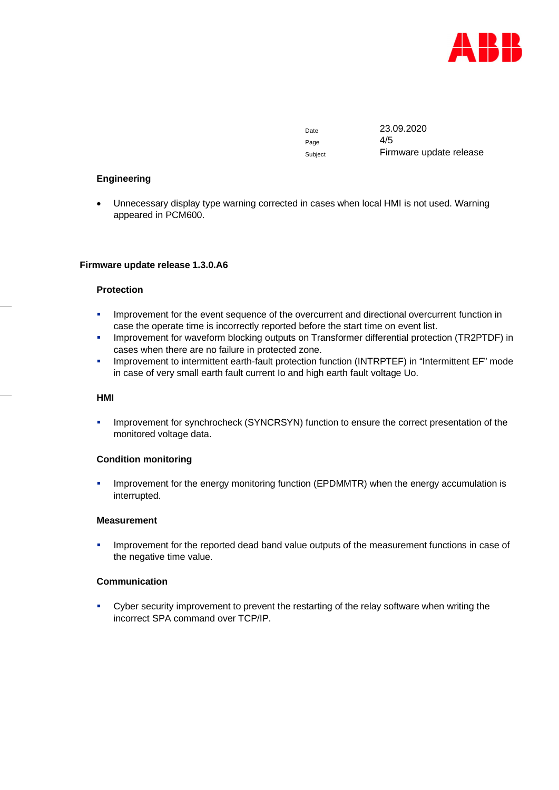

Page 4/5

Date 23.09.2020 Subject Firmware update release

# **Engineering**

 Unnecessary display type warning corrected in cases when local HMI is not used. Warning appeared in PCM600.

## **Firmware update release 1.3.0.A6**

## **Protection**

- **IMPROVEMENT for the event sequence of the overcurrent and directional overcurrent function in** case the operate time is incorrectly reported before the start time on event list.
- **IMPROVEMENT for waveform blocking outputs on Transformer differential protection (TR2PTDF) in** cases when there are no failure in protected zone.
- **IMPROVEMENT to intermittent earth-fault protection function (INTRPTEF) in "Intermittent EF" mode** in case of very small earth fault current Io and high earth fault voltage Uo.

## **HMI**

**IMPROVEMENT for synchrocheck (SYNCRSYN) function to ensure the correct presentation of the** monitored voltage data.

# **Condition monitoring**

 Improvement for the energy monitoring function (EPDMMTR) when the energy accumulation is interrupted.

#### **Measurement**

 Improvement for the reported dead band value outputs of the measurement functions in case of the negative time value.

# **Communication**

 Cyber security improvement to prevent the restarting of the relay software when writing the incorrect SPA command over TCP/IP.